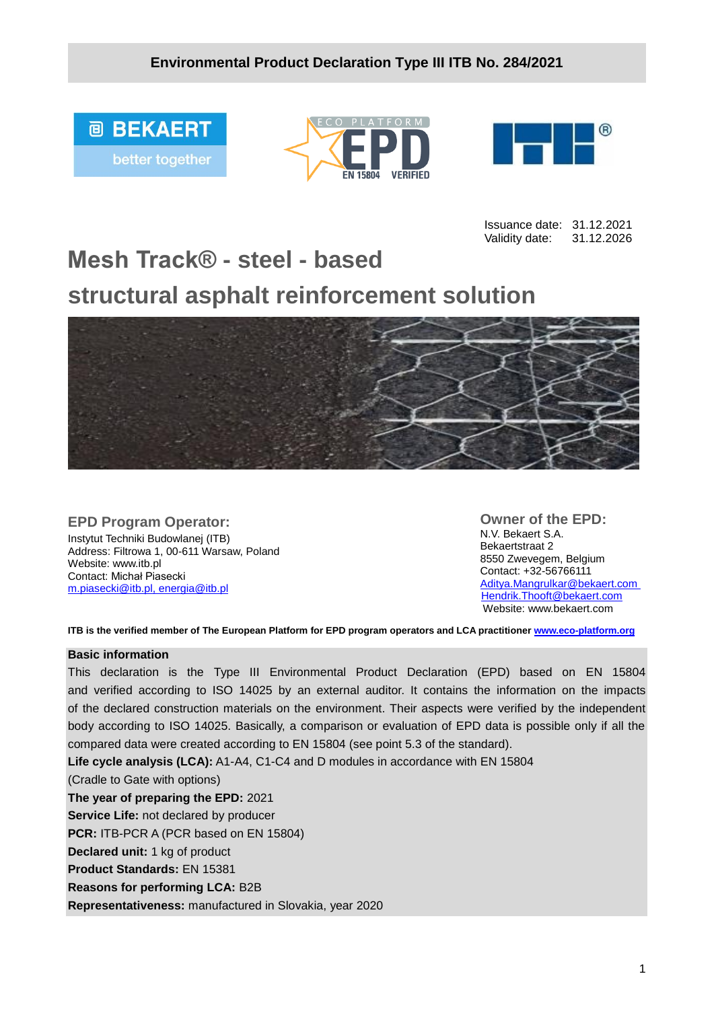





Issuance date: 31.12.2021 Validity date: 31.12.2026

# **Mesh Track® - steel - based structural asphalt reinforcement solution**



#### **EPD Program Operator:**

Instytut Techniki Budowlanej (ITB) Address: Filtrowa 1, 00-611 Warsaw, Poland Website: www.itb.pl Contact: Michał Piasecki m.piasecki@itb.pl, [energia@itb.pl](mailto:energia@itb.pl)

**Owner of the EPD:** N.V. Bekaert S.A. Bekaertstraat 2 8550 Zwevegem, Belgium Contact: +32-56766111 [Aditya.Mangrulkar@bekaert.com](mailto:Aditya.Mangrulkar@bekaert.com) [Hendrik.Thooft@bekaert.com](mailto:Hendrik.Thooft@bekaert.com) Website: www.bekaert.com

**ITB is the verified member of The European Platform for EPD program operators and LCA practitioner [www.eco-platform.org](http://www.eco-platform.org/)**

#### **Basic information**

This declaration is the Type III Environmental Product Declaration (EPD) based on EN 15804 and verified according to ISO 14025 by an external auditor. It contains the information on the impacts of the declared construction materials on the environment. Their aspects were verified by the independent body according to ISO 14025. Basically, a comparison or evaluation of EPD data is possible only if all the compared data were created according to EN 15804 (see point 5.3 of the standard).

**Life cycle analysis (LCA):** A1-A4, C1-C4 and D modules in accordance with EN 15804

(Cradle to Gate with options)

**The year of preparing the EPD:** 2021

**Service Life:** not declared by producer

**PCR:** ITB-PCR A (PCR based on EN 15804)

**Declared unit:** 1 kg of product

**Product Standards:** EN 15381

**Reasons for performing LCA:** B2B

**Representativeness:** manufactured in Slovakia, year 2020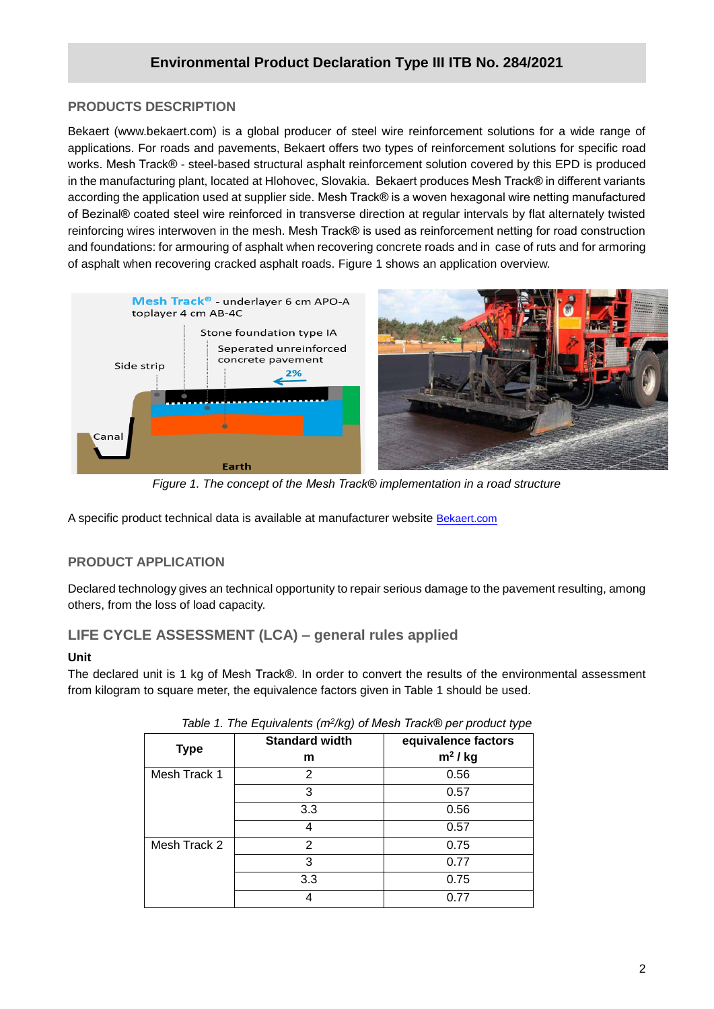## **PRODUCTS DESCRIPTION**

**/2020** applications. For roads and pavements, Bekaert offers two types of reinforcement solutions for specific road Bekaert (www.bekaert.com) is a global producer of steel wire reinforcement solutions for a wide range of works. Mesh Track® - steel-based structural asphalt reinforcement solution covered by this EPD is produced in the manufacturing plant, located at Hlohovec, Slovakia. Bekaert produces Mesh Track® in different variants according the application used at supplier side. Mesh Track® is a woven hexagonal wire netting manufactured of Bezinal® coated steel wire reinforced in transverse direction at regular intervals by flat alternately twisted reinforcing wires interwoven in the mesh. Mesh Track® is used as reinforcement netting for road construction and foundations: for armouring of asphalt when recovering concrete roads and in case of ruts and for armoring of asphalt when recovering cracked asphalt roads. Figure 1 shows an application overview.



*Figure 1. The concept of the Mesh Track® implementation in a road structure*

A specific product technical data is available at manufacturer website [Bekaert.com](https://www.bekaert.com/en/product-catalog/construction/road-reinforcement/downloads)

## **PRODUCT APPLICATION**

Declared technology gives an technical opportunity to repair serious damage to the pavement resulting, among others, from the loss of load capacity.

## **LIFE CYCLE ASSESSMENT (LCA) – general rules applied**

#### **Unit**

The declared unit is 1 kg of Mesh Track®. In order to convert the results of the environmental assessment from kilogram to square meter, the equivalence factors given in Table 1 should be used.

| rapid in the Equivalents (in high or moon mache por product type |                       |                     |  |  |  |  |  |  |
|------------------------------------------------------------------|-----------------------|---------------------|--|--|--|--|--|--|
| <b>Type</b>                                                      | <b>Standard width</b> | equivalence factors |  |  |  |  |  |  |
|                                                                  | m                     | $m2$ / kg           |  |  |  |  |  |  |
| Mesh Track 1                                                     | 2                     | 0.56                |  |  |  |  |  |  |
|                                                                  | 3                     | 0.57                |  |  |  |  |  |  |
|                                                                  | 3.3                   | 0.56                |  |  |  |  |  |  |
|                                                                  | 4                     | 0.57                |  |  |  |  |  |  |
| Mesh Track 2                                                     | 2                     | 0.75                |  |  |  |  |  |  |
|                                                                  | 3                     | 0.77                |  |  |  |  |  |  |
|                                                                  | 3.3                   | 0.75                |  |  |  |  |  |  |
|                                                                  | 4                     | 0.77                |  |  |  |  |  |  |

|  | Table 1. The Equivalents (m <sup>2</sup> /kg) of Mesh Track® per product type |  |  |  |
|--|-------------------------------------------------------------------------------|--|--|--|
|  |                                                                               |  |  |  |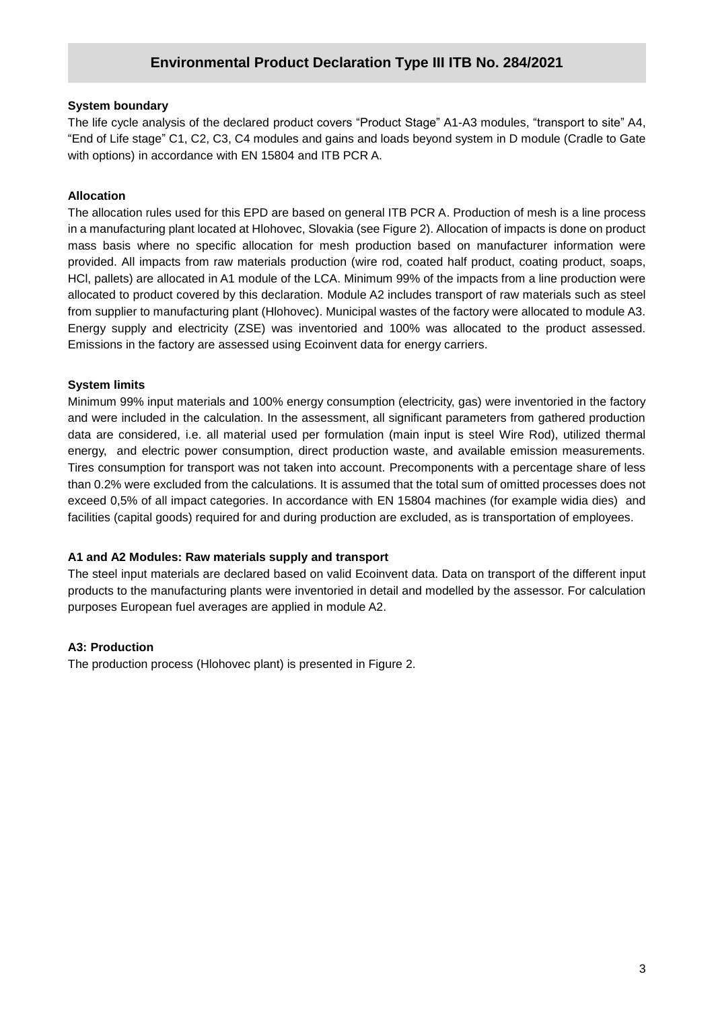#### **System boundary**

**/2020** "End of Life stage" C1, C2, C3, C4 modules and gains and loads beyond system in D module (Cradle to Gate The life cycle analysis of the declared product covers "Product Stage" A1-A3 modules, "transport to site" A4, with options) in accordance with EN 15804 and ITB PCR A.

#### **Allocation**

The allocation rules used for this EPD are based on general ITB PCR A. Production of mesh is a line process in a manufacturing plant located at Hlohovec, Slovakia (see Figure 2). Allocation of impacts is done on product mass basis where no specific allocation for mesh production based on manufacturer information were provided. All impacts from raw materials production (wire rod, coated half product, coating product, soaps, HCl, pallets) are allocated in A1 module of the LCA. Minimum 99% of the impacts from a line production were allocated to product covered by this declaration. Module A2 includes transport of raw materials such as steel from supplier to manufacturing plant (Hlohovec). Municipal wastes of the factory were allocated to module A3. Energy supply and electricity (ZSE) was inventoried and 100% was allocated to the product assessed. Emissions in the factory are assessed using Ecoinvent data for energy carriers.

#### **System limits**

Minimum 99% input materials and 100% energy consumption (electricity, gas) were inventoried in the factory and were included in the calculation. In the assessment, all significant parameters from gathered production data are considered, i.e. all material used per formulation (main input is steel Wire Rod), utilized thermal energy, and electric power consumption, direct production waste, and available emission measurements. Tires consumption for transport was not taken into account. Precomponents with a percentage share of less than 0.2% were excluded from the calculations. It is assumed that the total sum of omitted processes does not exceed 0,5% of all impact categories. In accordance with EN 15804 machines (for example widia dies) and facilities (capital goods) required for and during production are excluded, as is transportation of employees.

#### **A1 and A2 Modules: Raw materials supply and transport**

The steel input materials are declared based on valid Ecoinvent data. Data on transport of the different input products to the manufacturing plants were inventoried in detail and modelled by the assessor. For calculation purposes European fuel averages are applied in module A2.

#### **A3: Production**

The production process (Hlohovec plant) is presented in Figure 2.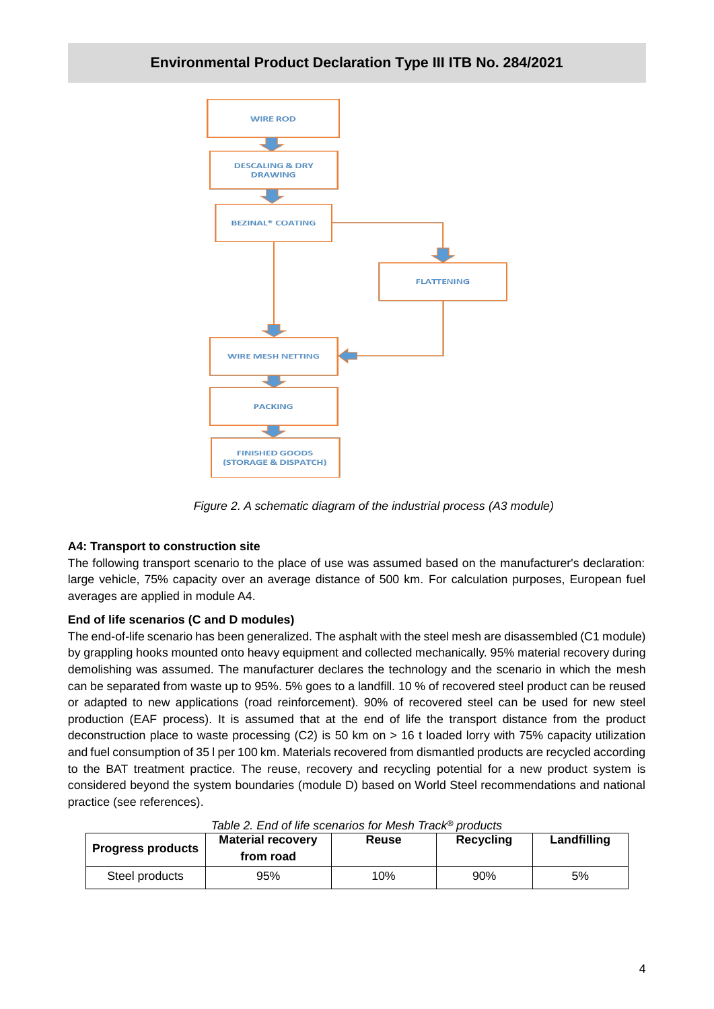

*Figure 2. A schematic diagram of the industrial process (A3 module)*

#### **A4: Transport to construction site**

The following transport scenario to the place of use was assumed based on the manufacturer's declaration: large vehicle, 75% capacity over an average distance of 500 km. For calculation purposes, European fuel averages are applied in module A4.

## **End of life scenarios (C and D modules)**

The end-of-life scenario has been generalized. The asphalt with the steel mesh are disassembled (C1 module) by grappling hooks mounted onto heavy equipment and collected mechanically. 95% material recovery during demolishing was assumed. The manufacturer declares the technology and the scenario in which the mesh can be separated from waste up to 95%. 5% goes to a landfill. 10 % of recovered steel product can be reused or adapted to new applications (road reinforcement). 90% of recovered steel can be used for new steel production (EAF process). It is assumed that at the end of life the transport distance from the product deconstruction place to waste processing (C2) is 50 km on > 16 t loaded lorry with 75% capacity utilization and fuel consumption of 35 l per 100 km. Materials recovered from dismantled products are recycled according to the BAT treatment practice. The reuse, recovery and recycling potential for a new product system is considered beyond the system boundaries (module D) based on World Steel recommendations and national practice (see references).

| Table 2. ETTO OF THE SCEITATIOS TOF INFORMATION PROGRAMS |                          |       |           |             |  |  |  |  |  |
|----------------------------------------------------------|--------------------------|-------|-----------|-------------|--|--|--|--|--|
|                                                          | <b>Material recovery</b> | Reuse | Recycling | Landfilling |  |  |  |  |  |
| <b>Progress products</b>                                 | from road                |       |           |             |  |  |  |  |  |
| Steel products                                           | 95%                      | 10%   | 90%       | 5%          |  |  |  |  |  |

#### *Table 2. End of life scenarios for Mesh Track® products*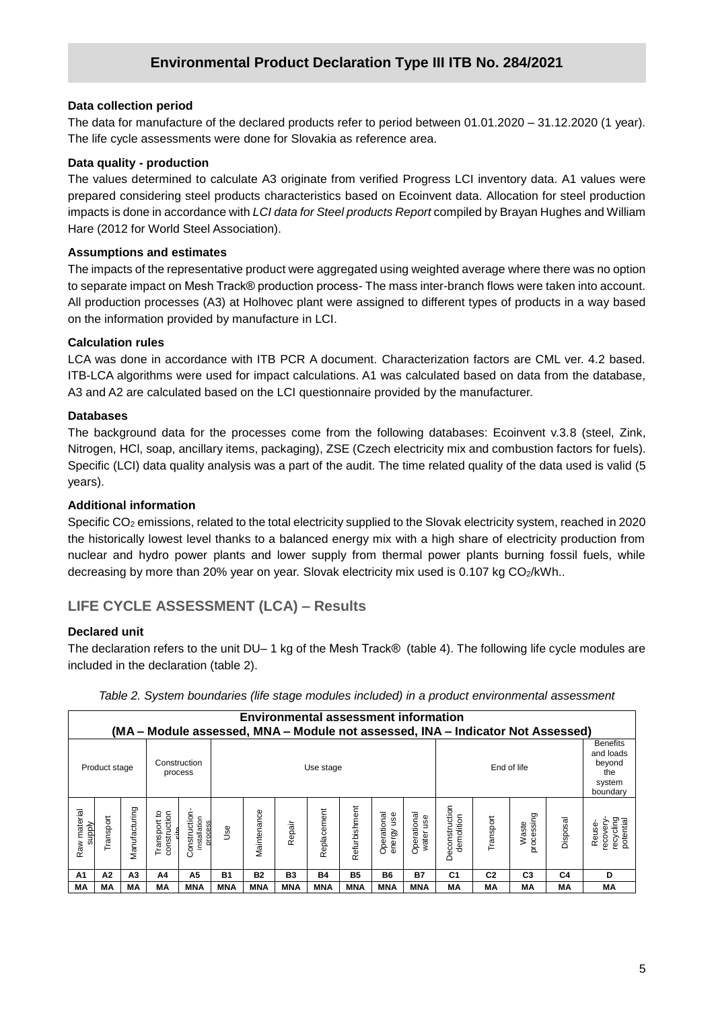#### **Data collection period**

**/2020** The life cycle assessments were done for Slovakia as reference area. The data for manufacture of the declared products refer to period between 01.01.2020 – 31.12.2020 (1 year).

#### **Data quality - production**

The values determined to calculate A3 originate from verified Progress LCI inventory data. A1 values were prepared considering steel products characteristics based on Ecoinvent data. Allocation for steel production impacts is done in accordance with *LCI data for Steel products Report* compiled by Brayan Hughes and William Hare (2012 for World Steel Association).

#### **Assumptions and estimates**

The impacts of the representative product were aggregated using weighted average where there was no option to separate impact on Mesh Track® production process- The mass inter-branch flows were taken into account. All production processes (A3) at Holhovec plant were assigned to different types of products in a way based on the information provided by manufacture in LCI.

#### **Calculation rules**

LCA was done in accordance with ITB PCR A document. Characterization factors are CML ver. 4.2 based. ITB-LCA algorithms were used for impact calculations. A1 was calculated based on data from the database, A3 and A2 are calculated based on the LCI questionnaire provided by the manufacturer.

#### **Databases**

The background data for the processes come from the following databases: Ecoinvent v.3.8 (steel, Zink, Nitrogen, HCl, soap, ancillary items, packaging), ZSE (Czech electricity mix and combustion factors for fuels). Specific (LCI) data quality analysis was a part of the audit. The time related quality of the data used is valid (5 years).

#### **Additional information**

Specific CO<sub>2</sub> emissions, related to the total electricity supplied to the Slovak electricity system, reached in 2020 the historically lowest level thanks to a balanced energy mix with a high share of electricity production from nuclear and hydro power plants and lower supply from thermal power plants burning fossil fuels, while decreasing by more than 20% year on year. Slovak electricity mix used is 0.107 kg CO<sub>2</sub>/kWh..

## **LIFE CYCLE ASSESSMENT (LCA) – Results**

#### **Declared unit**

The declaration refers to the unit DU– 1 kg of the Mesh Track® (table 4). The following life cycle modules are included in the declaration (table 2).

|                        | <b>Environmental assessment information</b><br>(MA – Module assessed, MNA – Module not assessed, INA – Indicator Not Assessed) |                |                                     |                                         |            |                          |                |             |               |                           |                          |                              |                                                                     |                     |          |                                             |
|------------------------|--------------------------------------------------------------------------------------------------------------------------------|----------------|-------------------------------------|-----------------------------------------|------------|--------------------------|----------------|-------------|---------------|---------------------------|--------------------------|------------------------------|---------------------------------------------------------------------|---------------------|----------|---------------------------------------------|
|                        | Product stage                                                                                                                  |                |                                     | Construction<br>process                 |            | End of life<br>Use stage |                |             |               |                           |                          |                              | <b>Benefits</b><br>and loads<br>beyond<br>the<br>system<br>boundary |                     |          |                                             |
| Raw material<br>supply | Fransport                                                                                                                      | Manufacturing  | 요<br>construction<br>Transport<br>۽ | Construction<br>installation<br>process | <b>Jse</b> | Maintenance              | Repair         | Replacement | Refurbishment | Operational<br>energy use | Operational<br>water use | Deconstruction<br>demolition | Transport                                                           | processing<br>Waste | Disposal | recycling<br>potential<br>ecovery<br>Reuse- |
| A <sub>1</sub>         | A2                                                                                                                             | A <sub>3</sub> | A4                                  | A <sub>5</sub>                          | <b>B1</b>  | <b>B2</b>                | B <sub>3</sub> | <b>B4</b>   | <b>B5</b>     | <b>B6</b>                 | <b>B7</b>                | C <sub>1</sub>               | C <sub>2</sub>                                                      | C <sub>3</sub>      | C4       | D                                           |
| МA                     | МA                                                                                                                             | МA             | МA                                  | <b>MNA</b>                              | MNA        | MNA                      | <b>MNA</b>     | <b>MNA</b>  | <b>MNA</b>    | <b>MNA</b>                | <b>MNA</b>               | МA                           | МA                                                                  | MΑ                  | MА       | МA                                          |

*Table 2. System boundaries (life stage modules included) in a product environmental assessment*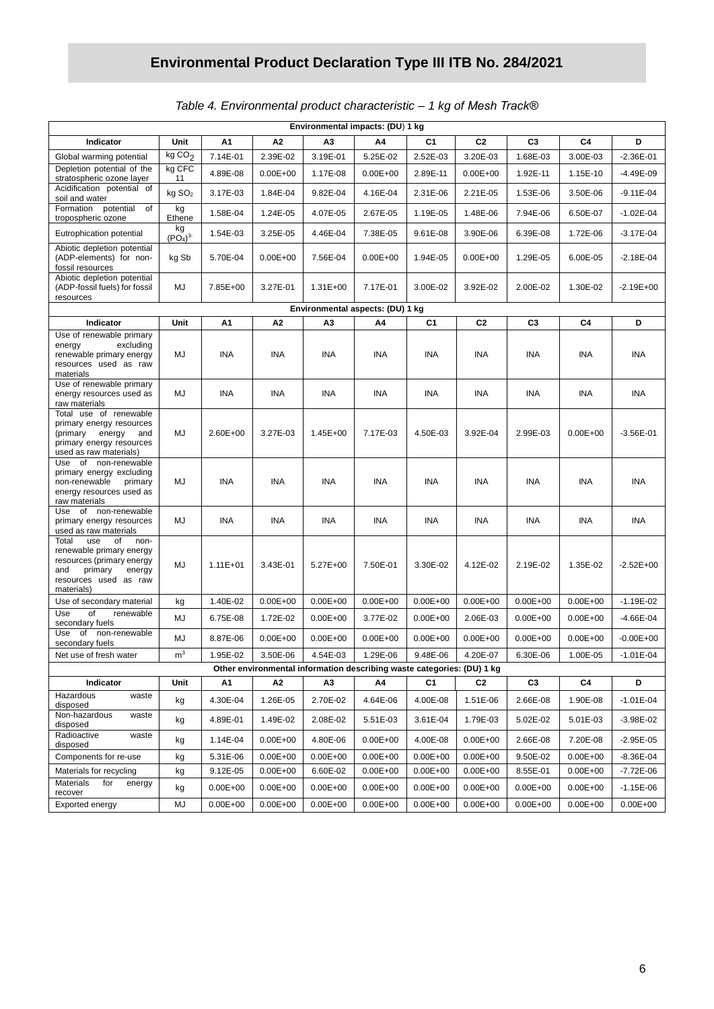|  | Table 4. Environmental product characteristic - 1 kg of Mesh Track® |  |  |  |
|--|---------------------------------------------------------------------|--|--|--|
|--|---------------------------------------------------------------------|--|--|--|

| Environmental impacts: (DU) 1 kg                                                                                                                                                                                                      |                                       |              |                      |                      |                      |                      |                      |                      |                      |                              |
|---------------------------------------------------------------------------------------------------------------------------------------------------------------------------------------------------------------------------------------|---------------------------------------|--------------|----------------------|----------------------|----------------------|----------------------|----------------------|----------------------|----------------------|------------------------------|
| Indicator                                                                                                                                                                                                                             | Unit                                  | А1           | A <sub>2</sub>       | A3                   | A4                   | C1                   | C <sub>2</sub>       | C <sub>3</sub>       | C4                   | D                            |
| Global warming potential                                                                                                                                                                                                              | kgCO <sub>2</sub>                     | 7.14E-01     | 2.39E-02             | 3.19E-01             | 5.25E-02             | 2.52E-03             | 3.20E-03             | 1.68E-03             | 3.00E-03             | $-2.36E - 01$                |
| Depletion potential of the<br>stratospheric ozone layer                                                                                                                                                                               | kg CFC<br>11                          | 4.89E-08     | $0.00E + 00$         | 1.17E-08             | $0.00E + 00$         | 2.89E-11             | $0.00E + 00$         | 1.92E-11             | 1.15E-10             | $-4.49E-09$                  |
| Acidification potential of<br>soil and water                                                                                                                                                                                          | kg SO <sub>2</sub>                    | 3.17E-03     | 1.84E-04             | 9.82E-04             | 4.16E-04             | 2.31E-06             | 2.21E-05             | 1.53E-06             | 3.50E-06             | $-9.11E - 04$                |
| Formation potential<br>of<br>tropospheric ozone                                                                                                                                                                                       | kg<br>Ethene                          | 1.58E-04     | 1.24E-05             | 4.07E-05             | 2.67E-05             | 1.19E-05             | 1.48E-06             | 7.94E-06             | 6.50E-07             | $-1.02E - 04$                |
| Eutrophication potential                                                                                                                                                                                                              | kg<br>(PO <sub>4</sub> ) <sup>3</sup> | 1.54E-03     | 3.25E-05             | 4.46E-04             | 7.38E-05             | 9.61E-08             | 3.90E-06             | 6.39E-08             | 1.72E-06             | $-3.17E-04$                  |
| Abiotic depletion potential<br>(ADP-elements) for non-<br>fossil resources                                                                                                                                                            | kg Sb                                 | 5.70E-04     | $0.00E + 00$         | 7.56E-04             | $0.00E + 00$         | 1.94E-05             | $0.00E + 00$         | 1.29E-05             | 6.00E-05             | $-2.18E - 04$                |
| Abiotic depletion potential<br>(ADP-fossil fuels) for fossil<br>resources                                                                                                                                                             | MJ                                    | 7.85E+00     | 3.27E-01             | 1.31E+00             | 7.17E-01             | 3.00E-02             | 3.92E-02             | 2.00E-02             | 1.30E-02             | $-2.19E + 00$                |
| Environmental aspects: (DU) 1 kg                                                                                                                                                                                                      |                                       |              |                      |                      |                      |                      |                      |                      |                      |                              |
| Indicator                                                                                                                                                                                                                             | Unit                                  | Α1           | A <sub>2</sub>       | A3                   | Α4                   | C1                   | C <sub>2</sub>       | C <sub>3</sub>       | C4                   | D                            |
| Use of renewable primary<br>excluding<br>energy<br>renewable primary energy<br>resources used as raw<br>materials                                                                                                                     | MJ                                    | INA          | INA                  | <b>INA</b>           | INA                  | INA                  | INA                  | <b>INA</b>           | <b>INA</b>           | INA                          |
| Use of renewable primary<br>energy resources used as<br>raw materials                                                                                                                                                                 | MJ                                    | INA          | INA                  | INA                  | INA                  | INA                  | INA                  | INA                  | INA                  | INA                          |
| Total use of renewable<br>primary energy resources<br>(primary<br>energy<br>and<br>primary energy resources<br>used as raw materials)                                                                                                 | MJ                                    | 2.60E+00     | 3.27E-03             | 1.45E+00             | 7.17E-03             | 4.50E-03             | 3.92E-04             | 2.99E-03             | $0.00E + 00$         | $-3.56E-01$                  |
| Use of non-renewable<br>primary energy excluding<br>non-renewable<br>primary<br>energy resources used as<br>raw materials                                                                                                             | MJ                                    | <b>INA</b>   | INA                  | <b>INA</b>           | INA                  | INA                  | INA                  | INA                  | INA                  | INA                          |
| Use of non-renewable<br>primary energy resources<br>used as raw materials                                                                                                                                                             | MJ                                    | INA          | <b>INA</b>           | INA                  | <b>INA</b>           | INA                  | INA                  | <b>INA</b>           | INA                  | INA                          |
| use<br>of<br>Total<br>non-<br>renewable primary energy<br>resources (primary energy<br>and<br>primary<br>energy<br>resources used as raw<br>materials)                                                                                | MJ                                    | $1.11E + 01$ | 3.43E-01             | 5.27E+00             | 7.50E-01             | 3.30E-02             | 4.12E-02             | 2.19E-02             | 1.35E-02             | $-2.52E + 00$                |
| Use of secondary material                                                                                                                                                                                                             | kg                                    | 1.40E-02     | $0.00E + 00$         | $0.00E + 00$         | $0.00E + 00$         | $0.00E + 00$         | $0.00E + 00$         | $0.00E + 00$         | $0.00E + 00$         | $-1.19E - 02$                |
| Use<br>of<br>renewable<br>secondary fuels                                                                                                                                                                                             | MJ                                    | 6.75E-08     | 1.72E-02             | $0.00E + 00$         | 3.77E-02             | $0.00E + 00$         | 2.06E-03             | $0.00E + 00$         | $0.00E + 00$         | -4.66E-04                    |
| of non-renewable<br>Use<br>secondary fuels                                                                                                                                                                                            | MJ                                    | 8.87E-06     | $0.00E + 00$         | $0.00E + 00$         | $0.00E + 00$         | $0.00E + 00$         | $0.00E + 00$         | $0.00E + 00$         | $0.00E + 00$         | $-0.00E + 00$                |
| m <sup>3</sup><br>1.95E-02<br>3.50E-06<br>$4.54E-03$<br>1.29E-06<br>9.48E-06<br>4.20E-07<br>6.30E-06<br>1.00E-05<br>$-1.01E - 04$<br>Net use of fresh water<br>Other environmental information describing waste categories: (DU) 1 kg |                                       |              |                      |                      |                      |                      |                      |                      |                      |                              |
| Indicator                                                                                                                                                                                                                             | Unit                                  | А1           | А2                   | А3                   | Α4                   | C1                   | C <sub>2</sub>       | C <sub>3</sub>       | C4                   | D                            |
| Hazardous<br>waste                                                                                                                                                                                                                    |                                       | 4.30E-04     |                      |                      |                      |                      |                      |                      |                      |                              |
| disposed<br>Non-hazardous<br>waste                                                                                                                                                                                                    | kg                                    | 4.89E-01     | 1.26E-05<br>1.49E-02 | 2.70E-02<br>2.08E-02 | 4.64E-06<br>5.51E-03 | 4.00E-08<br>3.61E-04 | 1.51E-06<br>1.79E-03 | 2.66E-08<br>5.02E-02 | 1.90E-08<br>5.01E-03 | $-1.01E-04$<br>$-3.98E - 02$ |
| disposed<br>Radioactive<br>waste                                                                                                                                                                                                      | kg<br>kg                              | 1.14E-04     | $0.00E + 00$         | 4.80E-06             | $0.00E + 00$         | 4.00E-08             | $0.00E + 00$         | 2.66E-08             | 7.20E-08             | $-2.95E-05$                  |
| disposed<br>Components for re-use                                                                                                                                                                                                     | kg                                    | 5.31E-06     | $0.00E + 00$         | $0.00E + 00$         | $0.00E + 00$         | $0.00E + 00$         | $0.00E + 00$         | 9.50E-02             | $0.00E + 00$         | $-8.36E - 04$                |
| Materials for recycling                                                                                                                                                                                                               | kg                                    | 9.12E-05     | $0.00E + 00$         | 6.60E-02             | $0.00E + 00$         | $0.00E + 00$         | $0.00E + 00$         | 8.55E-01             | $0.00E + 00$         | $-7.72E - 06$                |
| Materials<br>for<br>energy<br>recover                                                                                                                                                                                                 | kg                                    | $0.00E + 00$ | $0.00E + 00$         | $0.00E + 00$         | $0.00E + 00$         | $0.00E + 00$         | $0.00E + 00$         | $0.00E + 00$         | $0.00E + 00$         | $-1.15E-06$                  |
| Exported energy                                                                                                                                                                                                                       | MJ                                    | $0.00E + 00$ | $0.00E + 00$         | $0.00E + 00$         | $0.00E + 00$         | $0.00E + 00$         | $0.00E + 00$         | $0.00E + 00$         | $0.00E + 00$         | $0.00E + 00$                 |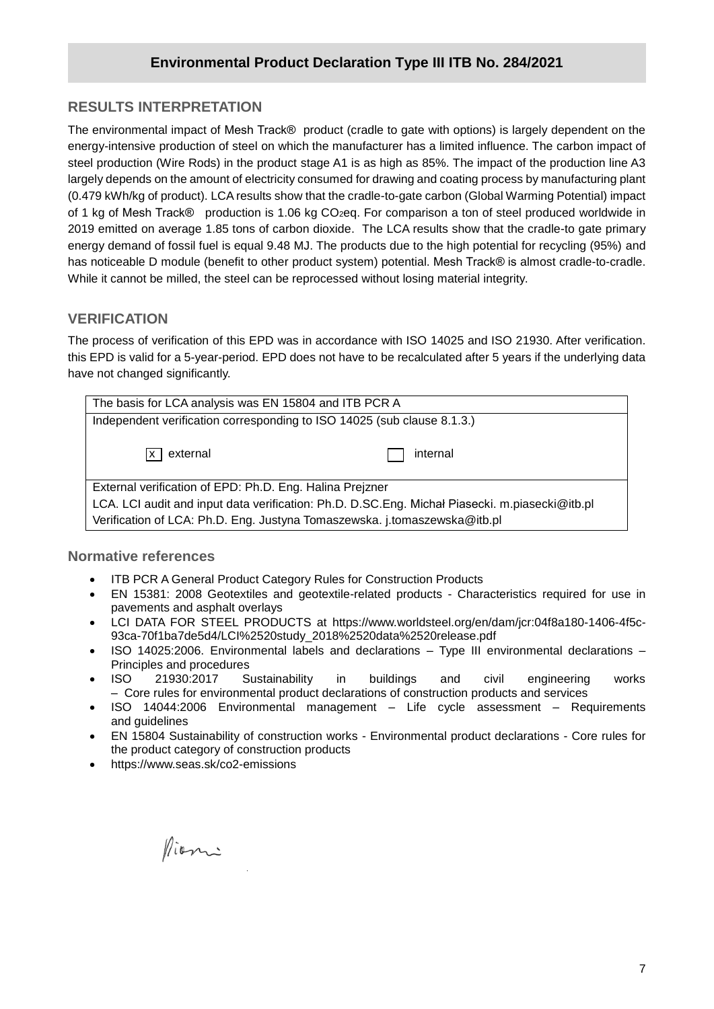# **RESULTS INTERPRETATION**

**/2020** energy-intensive production of steel on which the manufacturer has a limited influence. The carbon impact of The environmental impact of Mesh Track® product (cradle to gate with options) is largely dependent on the steel production (Wire Rods) in the product stage A1 is as high as 85%. The impact of the production line A3 largely depends on the amount of electricity consumed for drawing and coating process by manufacturing plant (0.479 kWh/kg of product). LCA results show that the cradle-to-gate carbon (Global Warming Potential) impact of 1 kg of Mesh Track® production is 1.06 kg CO<sub>2</sub>eq. For comparison a ton of steel produced worldwide in 2019 emitted on average 1.85 tons of carbon dioxide. The LCA results show that the cradle-to gate primary energy demand of fossil fuel is equal 9.48 MJ. The products due to the high potential for recycling (95%) and has noticeable D module (benefit to other product system) potential. Mesh Track® is almost cradle-to-cradle. While it cannot be milled, the steel can be reprocessed without losing material integrity.

#### **VERIFICATION**

The process of verification of this EPD was in accordance with ISO 14025 and ISO 21930. After verification. this EPD is valid for a 5-year-period. EPD does not have to be recalculated after 5 years if the underlying data have not changed significantly.

| The basis for LCA analysis was EN 15804 and ITB PCR A                                          |  |  |  |  |  |  |
|------------------------------------------------------------------------------------------------|--|--|--|--|--|--|
| Independent verification corresponding to ISO 14025 (sub clause 8.1.3.)                        |  |  |  |  |  |  |
| $\sqrt{x}$ external<br>internal                                                                |  |  |  |  |  |  |
| External verification of EPD: Ph.D. Eng. Halina Prejzner                                       |  |  |  |  |  |  |
| LCA. LCI audit and input data verification: Ph.D. D.SC.Eng. Michał Piasecki. m.piasecki@itb.pl |  |  |  |  |  |  |
| Verification of LCA: Ph.D. Eng. Justyna Tomaszewska. j.tomaszewska@itb.pl                      |  |  |  |  |  |  |

#### **Normative references**

- ITB PCR A General Product Category Rules for Construction Products
- EN 15381: 2008 Geotextiles and geotextile-related products Characteristics required for use in pavements and asphalt overlays
- LCI DATA FOR STEEL PRODUCTS at [https://www.worldsteel.org/en/dam/jcr:04f8a180-1406-4f5c-](https://www.worldsteel.org/en/dam/jcr:04f8a180-1406-4f5c-93ca-70f1ba7de5d4/LCI%2520study_2018%2520data%2520release.pdf)[93ca-70f1ba7de5d4/LCI%2520study\\_2018%2520data%2520release.pdf](https://www.worldsteel.org/en/dam/jcr:04f8a180-1406-4f5c-93ca-70f1ba7de5d4/LCI%2520study_2018%2520data%2520release.pdf)
- ISO 14025:2006. Environmental labels and declarations Type III environmental declarations Principles and procedures
- ISO 21930:2017 Sustainability in buildings and civil engineering works – Core rules for environmental product declarations of construction products and services
- ISO 14044:2006 Environmental management Life cycle assessment Requirements and guidelines
- EN 15804 Sustainability of construction works Environmental product declarations Core rules for the product category of construction products
- https://www.seas.sk/co2-emissions

Pioni